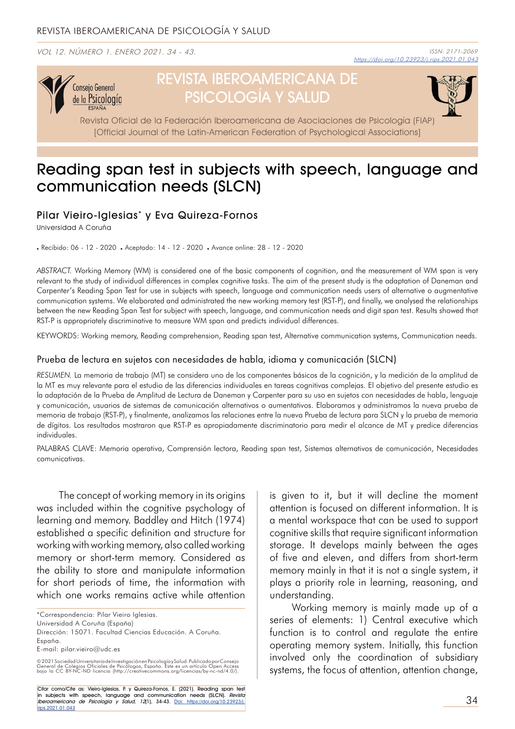VOL 12. NÚMERO 1. ENERO 2021. 34 - 43.



# REVISTA IBEROAMERICANA DE PSICOLOGÍA Y SALUD



Revista Oficial de la Federación Iberoamericana de Asociaciones de Psicología (FIAP) [Official Journal of the Latin-American Federation of Psychological Associations]

## Reading span test in subjects with speech, language and communication needs (SLCN)

## Pilar Vieiro-Iglesias\* y Eva Quireza-Fornos

Universidad A Coruña

Recibido: 06 - 12 - 2020 Aceptado: 14 - 12 - 2020 Avance online: 28 - 12 - 2020

*ABSTRACT.* Working Memory (WM) is considered one of the basic components of cognition, and the measurement of WM span is very relevant to the study of individual differences in complex cognitive tasks. The aim of the present study is the adaptation of Daneman and Carpenter's Reading Span Test for use in subjects with speech, language and communication needs users of alternative o augmentative communication systems. We elaborated and administrated the new working memory test (RST-P), and finally, we analysed the relationships between the new Reading Span Test for subject with speech, language, and communication needs and digit span test. Results showed that RST-P is appropriately discriminative to measure WM span and predicts individual differences.

KEYWORDS: Working memory, Reading comprehension, Reading span test, Alternative communication systems, Communication needs.

#### Prueba de lectura en sujetos con necesidades de habla, idioma y comunicación (SLCN)

*RESUMEN.* La memoria de trabajo (MT) se considera uno de los componentes básicos de la cognición, y la medición de la amplitud de la MT es muy relevante para el estudio de las diferencias individuales en tareas cognitivas complejas. El objetivo del presente estudio es la adaptación de la Prueba de Amplitud de Lectura de Daneman y Carpenter para su uso en sujetos con necesidades de habla, lenguaje y comunicación, usuarios de sistemas de comunicación alternativos o aumentativos. Elaboramos y administramos la nueva prueba de memoria de trabajo (RST-P), y finalmente, analizamos las relaciones entre la nueva Prueba de lectura para SLCN y la prueba de memoria de dígitos. Los resultados mostraron que RST-P es apropiadamente discriminatorio para medir el alcance de MT y predice diferencias individuales.

PALABRAS CLAVE: Memoria operativa, Comprensión lectora, Reading span test, Sistemas alternativos de comunicación, Necesidades comunicativas.

The concept of working memory in its origins was included within the cognitive psychology of learning and memory. Baddley and Hitch (1974) established a specific definition and structure for working with working memory, also called working memory or short-term memory. Considered as the ability to store and manipulate information for short periods of time, the information with which one works remains active while attention

\*Correspondencia: Pilar Vieiro Iglesias.

Citar como/Cite as: Vieiro-Iglesias, P. y Quireza-Fornos, E. (2021). Reading span test in subjects with speech, language and communication needs (SLCN). Revista Iberoamericana de Psicología y Salud, 12(1), 34-43. Doi: https://doi.org/10.23923/j. rips.2021.01.043

is given to it, but it will decline the moment attention is focused on different information. It is a mental workspace that can be used to support cognitive skills that require significant information storage. It develops mainly between the ages of five and eleven, and differs from short-term memory mainly in that it is not a single system, it plays a priority role in learning, reasoning, and understanding.

Working memory is mainly made up of a series of elements: 1) Central executive which function is to control and regulate the entire operating memory system. Initially, this function involved only the coordination of subsidiary systems, the focus of attention, attention change,

Universidad A Coruña (España) Dirección: 15071. Facultad Ciencias Educación. A Coruña. España.

E-mail: pilar.vieiro@udc.es

<sup>© 2021</sup> Sociedad Universitaria de Investigación en Psicología y Salud, Publicado por Consejo<br>General de Colegios Oficiales de Psicólogos, España. Este es un artículo Open Access<br>bajo la CC BY-NC-ND licencia (http://creative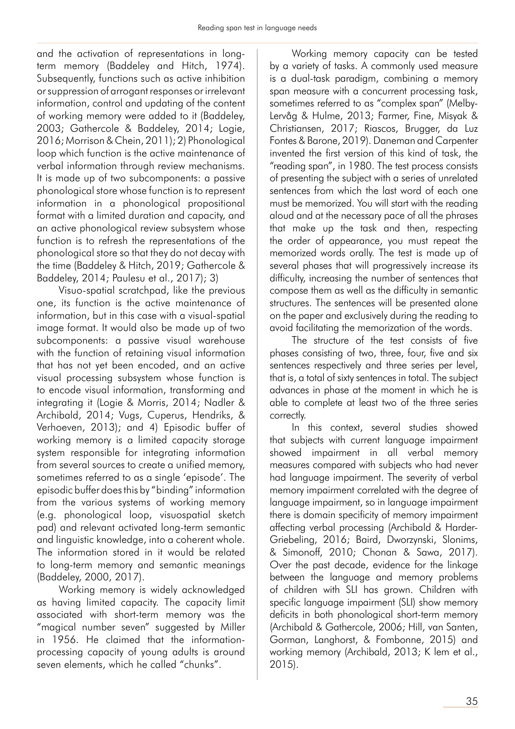and the activation of representations in longterm memory (Baddeley and Hitch, 1974). Subsequently, functions such as active inhibition or suppression of arrogant responses or irrelevant information, control and updating of the content of working memory were added to it (Baddeley, 2003; Gathercole & Baddeley, 2014; Logie, 2016; Morrison & Chein, 2011); 2) Phonological loop which function is the active maintenance of verbal information through review mechanisms. It is made up of two subcomponents: a passive phonological store whose function is to represent information in a phonological propositional format with a limited duration and capacity, and an active phonological review subsystem whose function is to refresh the representations of the phonological store so that they do not decay with the time (Baddeley & Hitch, 2019; Gathercole & Baddeley, 2014; Paulesu et al., 2017); 3)

Visuo-spatial scratchpad, like the previous one, its function is the active maintenance of information, but in this case with a visual-spatial image format. It would also be made up of two subcomponents: a passive visual warehouse with the function of retaining visual information that has not yet been encoded, and an active visual processing subsystem whose function is to encode visual information, transforming and integrating it (Logie & Morris, 2014; Nadler & Archibald, 2014; Vugs, Cuperus, Hendriks, & Verhoeven, 2013); and 4) Episodic buffer of working memory is a limited capacity storage system responsible for integrating information from several sources to create a unified memory, sometimes referred to as a single 'episode'. The episodic buffer does this by "binding" information from the various systems of working memory (e.g. phonological loop, visuospatial sketch pad) and relevant activated long-term semantic and linguistic knowledge, into a coherent whole. The information stored in it would be related to long-term memory and semantic meanings (Baddeley, 2000, 2017).

Working memory is widely acknowledged as having limited capacity. The capacity limit associated with short-term memory was the "magical number seven" suggested by Miller in 1956. He claimed that the informationprocessing capacity of young adults is around seven elements, which he called "chunks".

Working memory capacity can be tested by a variety of tasks. A commonly used measure is a dual-task paradigm, combining a memory span measure with a concurrent processing task, sometimes referred to as "complex span" (Melby-Lervåg & Hulme, 2013; Farmer, Fine, Misyak & Christiansen, 2017; Riascos, Brugger, da Luz Fontes & Barone, 2019). Daneman and Carpenter invented the first version of this kind of task, the "reading span", in 1980. The test process consists of presenting the subject with a series of unrelated sentences from which the last word of each one must be memorized. You will start with the reading aloud and at the necessary pace of all the phrases that make up the task and then, respecting the order of appearance, you must repeat the memorized words orally. The test is made up of several phases that will progressively increase its difficulty, increasing the number of sentences that compose them as well as the difficulty in semantic structures. The sentences will be presented alone on the paper and exclusively during the reading to avoid facilitating the memorization of the words.

The structure of the test consists of five phases consisting of two, three, four, five and six sentences respectively and three series per level, that is, a total of sixty sentences in total. The subject advances in phase at the moment in which he is able to complete at least two of the three series correctly.

In this context, several studies showed that subjects with current language impairment showed impairment in all verbal memory measures compared with subjects who had never had language impairment. The severity of verbal memory impairment correlated with the degree of language impairment, so in language impairment there is domain specificity of memory impairment affecting verbal processing (Archibald & Harder-Griebeling, 2016; Baird, Dworzynski, Slonims, & Simonoff, 2010; Chonan & Sawa, 2017). Over the past decade, evidence for the linkage between the language and memory problems of children with SLI has grown. Children with specific language impairment (SLI) show memory deficits in both phonological short-term memory (Archibald & Gathercole, 2006; Hill, van Santen, Gorman, Langhorst, & Fombonne, 2015) and working memory (Archibald, 2013; K lem et al., 2015).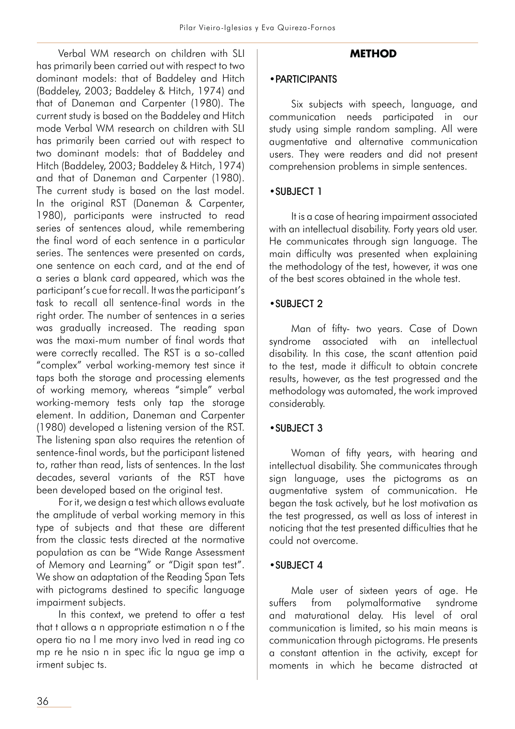Verbal WM research on children with SLI has primarily been carried out with respect to two dominant models: that of Baddeley and Hitch (Baddeley, 2003; Baddeley & Hitch, 1974) and that of Daneman and Carpenter (1980). The current study is based on the Baddeley and Hitch mode Verbal WM research on children with SLI has primarily been carried out with respect to two dominant models: that of Baddeley and Hitch (Baddeley, 2003; Baddeley & Hitch, 1974) and that of Daneman and Carpenter (1980). The current study is based on the last model. In the original RST (Daneman & Carpenter, 1980), participants were instructed to read series of sentences aloud, while remembering the final word of each sentence in a particular series. The sentences were presented on cards, one sentence on each card, and at the end of a series a blank card appeared, which was the participant's cue for recall. It was the participant's task to recall all sentence-final words in the right order. The number of sentences in a series was gradually increased. The reading span was the maxi-mum number of final words that were correctly recalled. The RST is a so-called "complex" verbal working-memory test since it taps both the storage and processing elements of working memory, whereas "simple" verbal working-memory tests only tap the storage element. In addition, Daneman and Carpenter (1980) developed a listening version of the RST. The listening span also requires the retention of sentence-final words, but the participant listened to, rather than read, lists of sentences. In the last decades, several variants of the RST have been developed based on the original test.

For it, we design a test which allows evaluate the amplitude of verbal working memory in this type of subjects and that these are different from the classic tests directed at the normative population as can be "Wide Range Assessment of Memory and Learning" or "Digit span test". We show an adaptation of the Reading Span Tets with pictograms destined to specific language impairment subjects.

In this context, we pretend to offer a test that t allows a n appropriate estimation n o f the opera tio na l me mory invo lved in read ing co mp re he nsio n in spec ific la ngua ge imp a irment subjec ts.

## **METHOD**

#### •PARTICIPANTS

Six subjects with speech, language, and communication needs participated in our study using simple random sampling. All were augmentative and alternative communication users. They were readers and did not present comprehension problems in simple sentences.

#### •SUBJECT 1

It is a case of hearing impairment associated with an intellectual disability. Forty years old user. He communicates through sign language. The main difficulty was presented when explaining the methodology of the test, however, it was one of the best scores obtained in the whole test.

#### •SUBJECT 2

Man of fifty- two years. Case of Down syndrome associated with an intellectual disability. In this case, the scant attention paid to the test, made it difficult to obtain concrete results, however, as the test progressed and the methodology was automated, the work improved considerably.

## •SUBJECT 3

Woman of fifty years, with hearing and intellectual disability. She communicates through sign language, uses the pictograms as an augmentative system of communication. He began the task actively, but he lost motivation as the test progressed, as well as loss of interest in noticing that the test presented difficulties that he could not overcome.

#### •SUBJECT 4

Male user of sixteen years of age. He suffers from polymalformative syndrome and maturational delay. His level of oral communication is limited, so his main means is communication through pictograms. He presents a constant attention in the activity, except for moments in which he became distracted at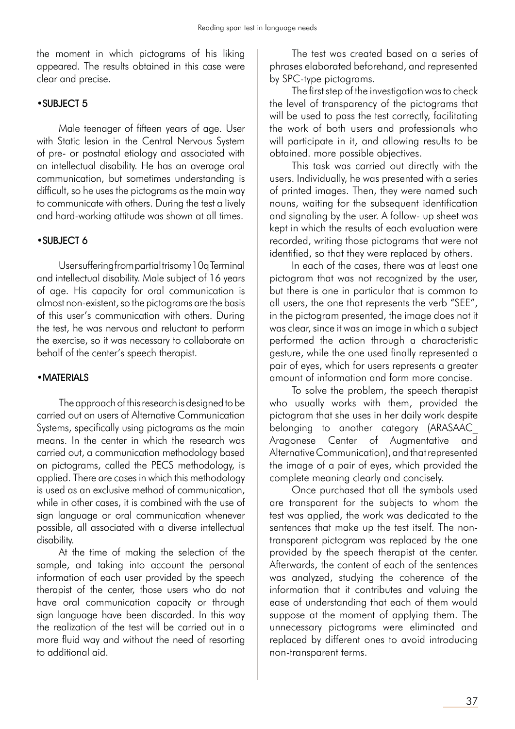the moment in which pictograms of his liking appeared. The results obtained in this case were clear and precise.

#### •SUBJECT 5

Male teenager of fifteen years of age. User with Static lesion in the Central Nervous System of pre- or postnatal etiology and associated with an intellectual disability. He has an average oral communication, but sometimes understanding is difficult, so he uses the pictograms as the main way to communicate with others. During the test a lively and hard-working attitude was shown at all times.

## •SUBJECT 6

User suffering from partial trisomy 10q Terminal and intellectual disability. Male subject of 16 years of age. His capacity for oral communication is almost non-existent, so the pictograms are the basis of this user's communication with others. During the test, he was nervous and reluctant to perform the exercise, so it was necessary to collaborate on behalf of the center's speech therapist.

#### •MATERIALS

The approach of this research is designed to be carried out on users of Alternative Communication Systems, specifically using pictograms as the main means. In the center in which the research was carried out, a communication methodology based on pictograms, called the PECS methodology, is applied. There are cases in which this methodology is used as an exclusive method of communication, while in other cases, it is combined with the use of sign language or oral communication whenever possible, all associated with a diverse intellectual disability.

At the time of making the selection of the sample, and taking into account the personal information of each user provided by the speech therapist of the center, those users who do not have oral communication capacity or through sign language have been discarded. In this way the realization of the test will be carried out in a more fluid way and without the need of resorting to additional aid.

The test was created based on a series of phrases elaborated beforehand, and represented by SPC-type pictograms.

The first step of the investigation was to check the level of transparency of the pictograms that will be used to pass the test correctly, facilitating the work of both users and professionals who will participate in it, and allowing results to be obtained. more possible objectives.

This task was carried out directly with the users. Individually, he was presented with a series of printed images. Then, they were named such nouns, waiting for the subsequent identification and signaling by the user. A follow- up sheet was kept in which the results of each evaluation were recorded, writing those pictograms that were not identified, so that they were replaced by others.

In each of the cases, there was at least one pictogram that was not recognized by the user, but there is one in particular that is common to all users, the one that represents the verb "SEE", in the pictogram presented, the image does not it was clear, since it was an image in which a subject performed the action through a characteristic gesture, while the one used finally represented a pair of eyes, which for users represents a greater amount of information and form more concise.

To solve the problem, the speech therapist who usually works with them, provided the pictogram that she uses in her daily work despite belonging to another category (ARASAAC\_ Aragonese Center of Augmentative and Alternative Communication), and that represented the image of a pair of eyes, which provided the complete meaning clearly and concisely.

Once purchased that all the symbols used are transparent for the subjects to whom the test was applied, the work was dedicated to the sentences that make up the test itself. The nontransparent pictogram was replaced by the one provided by the speech therapist at the center. Afterwards, the content of each of the sentences was analyzed, studying the coherence of the information that it contributes and valuing the ease of understanding that each of them would suppose at the moment of applying them. The unnecessary pictograms were eliminated and replaced by different ones to avoid introducing non-transparent terms.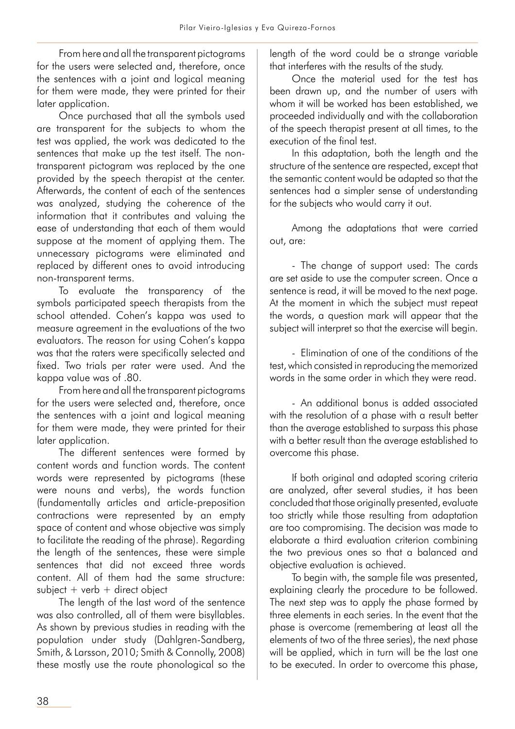From here and all the transparent pictograms for the users were selected and, therefore, once the sentences with a joint and logical meaning for them were made, they were printed for their later application.

Once purchased that all the symbols used are transparent for the subjects to whom the test was applied, the work was dedicated to the sentences that make up the test itself. The nontransparent pictogram was replaced by the one provided by the speech therapist at the center. Afterwards, the content of each of the sentences was analyzed, studying the coherence of the information that it contributes and valuing the ease of understanding that each of them would suppose at the moment of applying them. The unnecessary pictograms were eliminated and replaced by different ones to avoid introducing non-transparent terms.

To evaluate the transparency of the symbols participated speech therapists from the school attended. Cohen's kappa was used to measure agreement in the evaluations of the two evaluators. The reason for using Cohen's kappa was that the raters were specifically selected and fixed. Two trials per rater were used. And the kappa value was of .80.

From here and all the transparent pictograms for the users were selected and, therefore, once the sentences with a joint and logical meaning for them were made, they were printed for their later application.

The different sentences were formed by content words and function words. The content words were represented by pictograms (these were nouns and verbs), the words function (fundamentally articles and article-preposition contractions were represented by an empty space of content and whose objective was simply to facilitate the reading of the phrase). Regarding the length of the sentences, these were simple sentences that did not exceed three words content. All of them had the same structure:  $subject + verb + direct object$ 

The length of the last word of the sentence was also controlled, all of them were bisyllables. As shown by previous studies in reading with the population under study (Dahlgren-Sandberg, Smith, & Larsson, 2010; Smith & Connolly, 2008) these mostly use the route phonological so the length of the word could be a strange variable that interferes with the results of the study.

Once the material used for the test has been drawn up, and the number of users with whom it will be worked has been established, we proceeded individually and with the collaboration of the speech therapist present at all times, to the execution of the final test.

In this adaptation, both the length and the structure of the sentence are respected, except that the semantic content would be adapted so that the sentences had a simpler sense of understanding for the subjects who would carry it out.

Among the adaptations that were carried out, are:

- The change of support used: The cards are set aside to use the computer screen. Once a sentence is read, it will be moved to the next page. At the moment in which the subject must repeat the words, a question mark will appear that the subject will interpret so that the exercise will begin.

- Elimination of one of the conditions of the test, which consisted in reproducing the memorized words in the same order in which they were read.

- An additional bonus is added associated with the resolution of a phase with a result better than the average established to surpass this phase with a better result than the average established to overcome this phase.

If both original and adapted scoring criteria are analyzed, after several studies, it has been concluded that those originally presented, evaluate too strictly while those resulting from adaptation are too compromising. The decision was made to elaborate a third evaluation criterion combining the two previous ones so that a balanced and objective evaluation is achieved.

To begin with, the sample file was presented, explaining clearly the procedure to be followed. The next step was to apply the phase formed by three elements in each series. In the event that the phase is overcome (remembering at least all the elements of two of the three series), the next phase will be applied, which in turn will be the last one to be executed. In order to overcome this phase,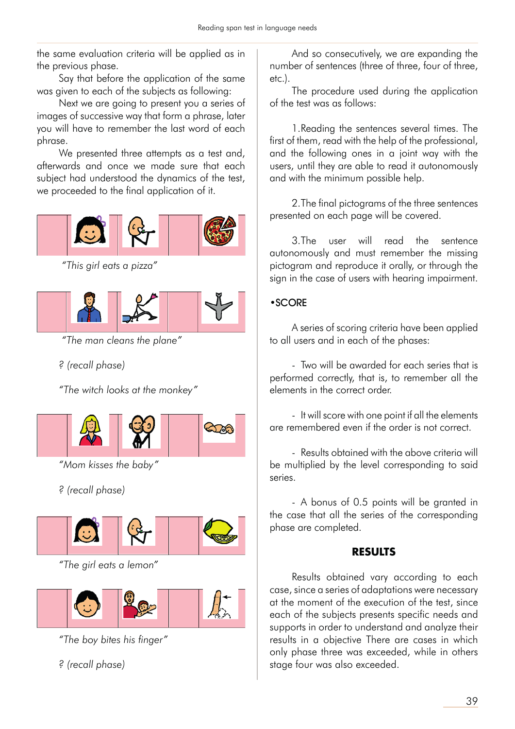the same evaluation criteria will be applied as in the previous phase.

Say that before the application of the same was given to each of the subjects as following:

Next we are going to present you a series of images of successive way that form a phrase, later you will have to remember the last word of each phrase.

We presented three attempts as a test and, afterwards and once we made sure that each subject had understood the dynamics of the test, we proceeded to the final application of it.



 *"This girl eats a pizza"*



 *"The man cleans the plane"*

*? (recall phase)*

*"The witch looks at the monkey"*



*"Mom kisses the baby"*

*? (recall phase)*



*"The girl eats a lemon"*



*"The boy bites his finger"*

*? (recall phase)*

And so consecutively, we are expanding the number of sentences (three of three, four of three, etc.).

The procedure used during the application of the test was as follows:

1. Reading the sentences several times. The first of them, read with the help of the professional, and the following ones in a joint way with the users, until they are able to read it autonomously and with the minimum possible help.

2. The final pictograms of the three sentences presented on each page will be covered.

3. The user will read the sentence autonomously and must remember the missing pictogram and reproduce it orally, or through the sign in the case of users with hearing impairment.

## •SCORE

A series of scoring criteria have been applied to all users and in each of the phases:

- Two will be awarded for each series that is performed correctly, that is, to remember all the elements in the correct order.

- It will score with one point if all the elements are remembered even if the order is not correct.

- Results obtained with the above criteria will be multiplied by the level corresponding to said series.

- A bonus of 0.5 points will be granted in the case that all the series of the corresponding phase are completed.

## **RESULTS**

Results obtained vary according to each case, since a series of adaptations were necessary at the moment of the execution of the test, since each of the subjects presents specific needs and supports in order to understand and analyze their results in a objective There are cases in which only phase three was exceeded, while in others stage four was also exceeded.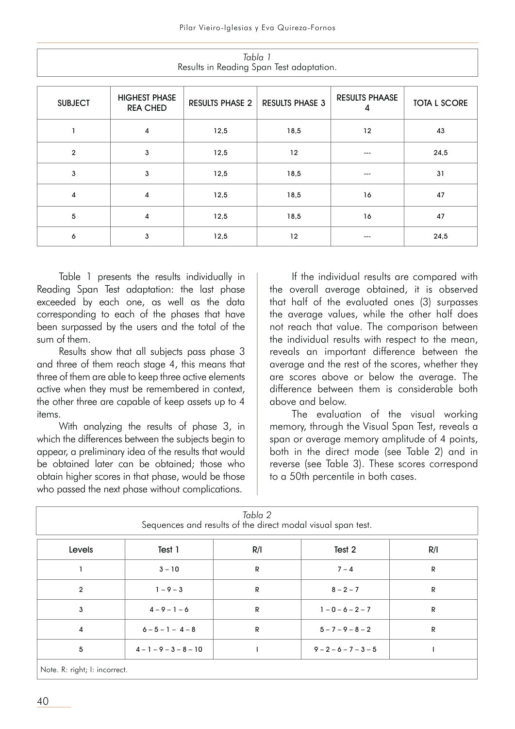|                |                                         |                        | iyulu i<br>Results in Reading Span Test adaptation. |                            |                     |
|----------------|-----------------------------------------|------------------------|-----------------------------------------------------|----------------------------|---------------------|
| <b>SUBJECT</b> | <b>HIGHEST PHASE</b><br><b>REA CHED</b> | <b>RESULTS PHASE 2</b> | <b>RESULTS PHASE 3</b>                              | <b>RESULTS PHAASE</b><br>4 | <b>TOTA L SCORE</b> |
|                | 4                                       | 12,5                   | 18,5                                                | 12                         | 43                  |
| $\overline{2}$ | 3                                       | 12,5                   | 12                                                  | ---                        | 24,5                |
| $\mathsf 3$    | 3                                       | 12,5                   | 18,5                                                | ---                        | 31                  |
| 4              | 4                                       | 12,5                   | 18,5                                                | 16                         | 47                  |
| $\overline{5}$ | 4                                       | 12,5                   | 18,5                                                | 16                         | 47                  |
| 6              | 3                                       | 12,5                   | 12                                                  | ---                        | 24,5                |

*Tabla 1*

Table 1 presents the results individually in Reading Span Test adaptation: the last phase exceeded by each one, as well as the data corresponding to each of the phases that have been surpassed by the users and the total of the sum of them.

Results show that all subjects pass phase 3 and three of them reach stage 4, this means that three of them are able to keep three active elements active when they must be remembered in context, the other three are capable of keep assets up to 4 items.

With analyzing the results of phase 3, in which the differences between the subjects begin to appear, a preliminary idea of the results that would be obtained later can be obtained; those who obtain higher scores in that phase, would be those who passed the next phase without complications.

If the individual results are compared with the overall average obtained, it is observed that half of the evaluated ones (3) surpasses the average values, while the other half does not reach that value. The comparison between the individual results with respect to the mean, reveals an important difference between the average and the rest of the scores, whether they are scores above or below the average. The difference between them is considerable both above and below.

The evaluation of the visual working memory, through the Visual Span Test, reveals a span or average memory amplitude of 4 points, both in the direct mode (see Table 2) and in reverse (see Table 3). These scores correspond to a 50th percentile in both cases.

| Tabla 2<br>Sequences and results of the direct modal visual span test. |                     |              |                         |     |  |  |
|------------------------------------------------------------------------|---------------------|--------------|-------------------------|-----|--|--|
| Levels                                                                 | Test 1              | R/I          | Test 2                  | R/I |  |  |
|                                                                        | $3 - 10$            | R            | $7 - 4$                 | R   |  |  |
| $\overline{2}$                                                         | $1 - 9 - 3$         | $\mathsf{R}$ | $8 - 2 - 7$             | R   |  |  |
| 3                                                                      | $4 - 9 - 1 - 6$     | R            | $1 - 0 - 6 - 2 - 7$     | R   |  |  |
| $\overline{4}$                                                         | $6 - 5 - 1 - 4 - 8$ | $\mathsf{R}$ | $5 - 7 - 9 - 8 - 2$     | R   |  |  |
| 5                                                                      | $4-1-9-3-8-10$      |              | $9 - 2 - 6 - 7 - 3 - 5$ |     |  |  |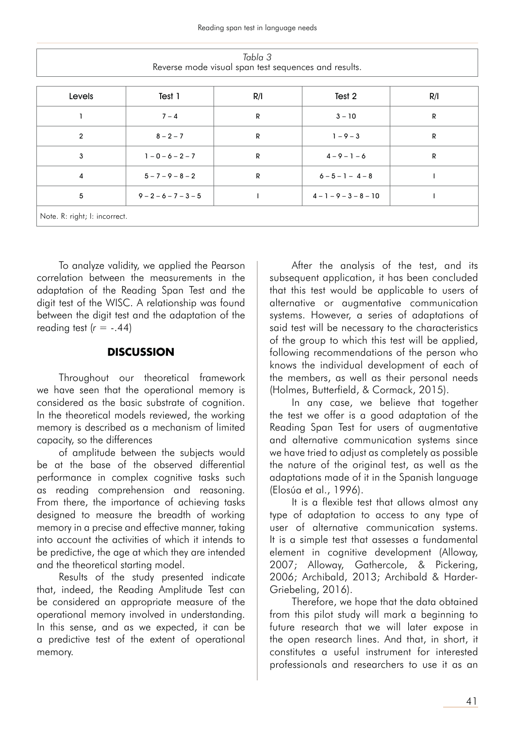| Levels         | Test 1                  | R/I | Test 2                   | R/I |  |  |  |
|----------------|-------------------------|-----|--------------------------|-----|--|--|--|
|                | $7 - 4$                 | R   | $3 - 10$                 | R   |  |  |  |
| $\overline{2}$ | $8 - 2 - 7$             | R   | $1 - 9 - 3$              | R   |  |  |  |
| 3              | $1 - 0 - 6 - 2 - 7$     | R   | $4 - 9 - 1 - 6$          | R   |  |  |  |
| 4              | $5 - 7 - 9 - 8 - 2$     | R   | $6 - 5 - 1 - 4 - 8$      |     |  |  |  |
| 5              | $9 - 2 - 6 - 7 - 3 - 5$ |     | $4 - 1 - 9 - 3 - 8 - 10$ |     |  |  |  |

To analyze validity, we applied the Pearson correlation between the measurements in the adaptation of the Reading Span Test and the digit test of the WISC. A relationship was found between the digit test and the adaptation of the reading test  $(r = -.44)$ 

## **DISCUSSION**

Throughout our theoretical framework we have seen that the operational memory is considered as the basic substrate of cognition. In the theoretical models reviewed, the working memory is described as a mechanism of limited capacity, so the differences

of amplitude between the subjects would be at the base of the observed differential performance in complex cognitive tasks such as reading comprehension and reasoning. From there, the importance of achieving tasks designed to measure the breadth of working memory in a precise and effective manner, taking into account the activities of which it intends to be predictive, the age at which they are intended and the theoretical starting model.

Results of the study presented indicate that, indeed, the Reading Amplitude Test can be considered an appropriate measure of the operational memory involved in understanding. In this sense, and as we expected, it can be a predictive test of the extent of operational memory.

After the analysis of the test, and its subsequent application, it has been concluded that this test would be applicable to users of alternative or augmentative communication systems. However, a series of adaptations of said test will be necessary to the characteristics of the group to which this test will be applied, following recommendations of the person who knows the individual development of each of the members, as well as their personal needs (Holmes, Butterfield, & Cormack, 2015).

In any case, we believe that together the test we offer is a good adaptation of the Reading Span Test for users of augmentative and alternative communication systems since we have tried to adjust as completely as possible the nature of the original test, as well as the adaptations made of it in the Spanish language (Elosúa et al., 1996).

It is a flexible test that allows almost any type of adaptation to access to any type of user of alternative communication systems. It is a simple test that assesses a fundamental element in cognitive development (Alloway, 2007; Alloway, Gathercole, & Pickering, 2006; Archibald, 2013; Archibald & Harder-Griebeling, 2016).

Therefore, we hope that the data obtained from this pilot study will mark a beginning to future research that we will later expose in the open research lines. And that, in short, it constitutes a useful instrument for interested professionals and researchers to use it as an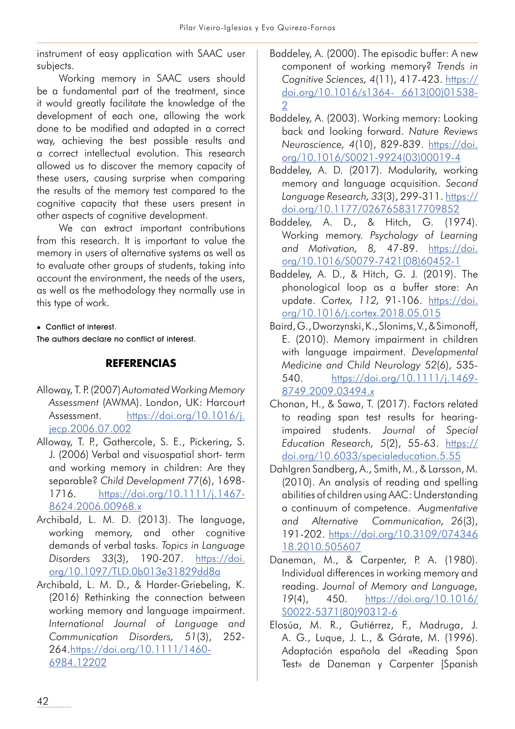instrument of easy application with SAAC user subjects.

Working memory in SAAC users should be a fundamental part of the treatment, since it would greatly facilitate the knowledge of the development of each one, allowing the work done to be modified and adapted in a correct way, achieving the best possible results and a correct intellectual evolution. This research allowed us to discover the memory capacity of these users, causing surprise when comparing the results of the memory test compared to the cognitive capacity that these users present in other aspects of cognitive development.

We can extract important contributions from this research. It is important to value the memory in users of alternative systems as well as to evaluate other groups of students, taking into account the environment, the needs of the users, as well as the methodology they normally use in this type of work.

Conflict of interest.

The authors declare no conflict of interest.

## **REFERENCIAS**

- Alloway, T. P. (2007) *Automated Working Memory Assessment* (AWMA). London, UK: Harcourt Assessment. https://doi.org/10.1016/j. jecp.2006.07.002
- Alloway, T. P., Gathercole, S. E., Pickering, S. J. (2006) Verbal and visuospatial short- term and working memory in children: Are they separable? *Child Development 77*(6), 1698- 1716. https://doi.org/10.1111/j.1467- 8624.2006.00968.x
- Archibald, L. M. D. (2013). The language, working memory, and other cognitive demands of verbal tasks. *Topics in Language Disorders 33*(3), 190-207. https://doi. org/10.1097/TLD.0b013e31829dd8a
- Archibald, L. M. D., & Harder-Griebeling, K. (2016) Rethinking the connection between working memory and language impairment. *International Journal of Language and Communication Disorders, 51*(3), 252- 264.https://doi.org/10.1111/1460- 6984.12202
- Baddeley, A. (2000). The episodic buffer: A new component of working memory? *Trends in Cognitive Sciences, 4*(11), 417-423. https:// doi.org/10.1016/s1364- 6613(00)01538- 2
- Baddeley, A. (2003). Working memory: Looking back and looking forward. *Nature Reviews Neuroscience, 4*(10), 829-839. https://doi. org/10.1016/S0021-9924(03)00019-4
- Baddeley, A. D. (2017). Modularity, working memory and language acquisition. *Second Language Research, 33*(3), 299-311. https:// doi.org/10.1177/0267658317709852
- Baddeley, A. D., & Hitch, G. (1974). Working memory. *Psychology of Learning and Motivation, 8,* 47-89. https://doi. org/10.1016/S0079-7421(08)60452-1
- Baddeley, A. D., & Hitch, G. J. (2019). The phonological loop as a buffer store: An update. *Cortex, 112,* 91-106. https://doi. org/10.1016/j.cortex.2018.05.015
- Baird, G., Dworzynski, K., Slonims, V., & Simonoff, E. (2010). Memory impairment in children with language impairment. *Developmental Medicine and Child Neurology 52*(6), 535- 540. https://doi.org/10.1111/j.1469- 8749.2009.03494.x
- Chonan, H., & Sawa, T. (2017). Factors related to reading span test results for hearingimpaired students. *Journal of Special Education Research, 5*(2), 55-63. https:// doi.org/10.6033/specialeducation.5.55
- Dahlgren Sandberg, A., Smith, M., & Larsson, M. (2010). An analysis of reading and spelling abilities of children using AAC: Understanding a continuum of competence. *Augmentative and Alternative Communication, 26*(3), 191-202. https://doi.org/10.3109/074346 18.2010.505607
- Daneman, M., & Carpenter, P. A. (1980). Individual differences in working memory and reading. *Journal of Memory and Language, 19*(4), 450. https://doi.org/10.1016/ S0022-5371(80)90312-6
- Elosúa, M. R., Gutiérrez, F., Madruga, J. A. G., Luque, J. L., & Gárate, M. (1996). Adaptación española del «Reading Span Test» de Daneman y Carpenter [Spanish